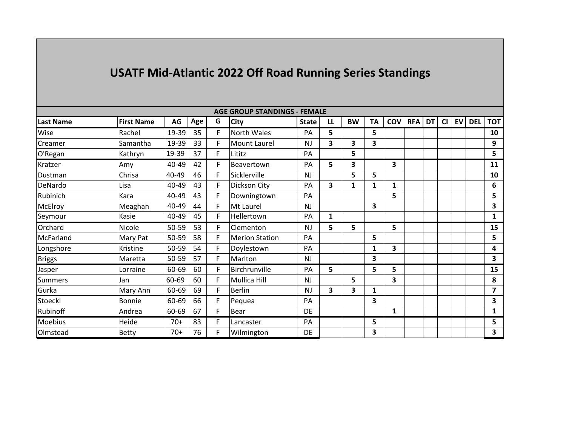| <b>AGE GROUP STANDINGS - FEMALE</b> |                   |       |     |    |                       |              |    |           |    |     |            |    |           |           |            |            |
|-------------------------------------|-------------------|-------|-----|----|-----------------------|--------------|----|-----------|----|-----|------------|----|-----------|-----------|------------|------------|
| Last Name                           | <b>First Name</b> | AG    | Age | G  | <b>City</b>           | <b>State</b> | LL | <b>BW</b> | TA | COV | <b>RFA</b> | DT | <b>CI</b> | <b>EV</b> | <b>DEL</b> | <b>TOT</b> |
| Wise                                | Rachel            | 19-39 | 35  | F. | North Wales           | PA           | 5  |           | 5  |     |            |    |           |           |            | 10         |
| Creamer                             | Samantha          | 19-39 | 33  | F  | <b>Mount Laurel</b>   | <b>NJ</b>    | 3  | 3         | 3  |     |            |    |           |           |            | 9          |
| O'Regan                             | Kathryn           | 19-39 | 37  | F  | Lititz                | PA           |    | 5         |    |     |            |    |           |           |            | 5          |
| Kratzer                             | Amy               | 40-49 | 42  | F  | Beavertown            | PA           | 5. | 3         |    | 3   |            |    |           |           |            | 11         |
| Dustman                             | Chrisa            | 40-49 | 46  | F  | Sicklerville          | <b>NJ</b>    |    | 5         | 5  |     |            |    |           |           |            | 10         |
| DeNardo                             | Lisa              | 40-49 | 43  | F. | Dickson City          | PA           | 3  | 1         | 1  | 1   |            |    |           |           |            | 6          |
| Rubinich                            | Kara              | 40-49 | 43  | F  | Downingtown           | PA           |    |           |    | 5   |            |    |           |           |            | 5          |
| McElroy                             | Meaghan           | 40-49 | 44  | F  | Mt Laurel             | <b>NJ</b>    |    |           | 3  |     |            |    |           |           |            | 3          |
| Seymour                             | Kasie             | 40-49 | 45  | F  | Hellertown            | PA           | 1  |           |    |     |            |    |           |           |            | 1          |
| Orchard                             | Nicole            | 50-59 | 53  | F  | Clementon             | <b>NJ</b>    | 5  | 5         |    | 5   |            |    |           |           |            | 15         |
| McFarland                           | Mary Pat          | 50-59 | 58  | F  | <b>Merion Station</b> | PA           |    |           | 5  |     |            |    |           |           |            | 5          |
| Longshore                           | Kristine          | 50-59 | 54  | F. | Doylestown            | PA           |    |           | 1  | 3   |            |    |           |           |            | 4          |
| <b>Briggs</b>                       | Maretta           | 50-59 | 57  | F  | Marlton               | <b>NJ</b>    |    |           | 3  |     |            |    |           |           |            | 3          |
| Jasper                              | Lorraine          | 60-69 | 60  | F  | Birchrunville         | PA           | 5  |           | 5  | 5   |            |    |           |           |            | 15         |
| <b>Summers</b>                      | Jan               | 60-69 | 60  | F  | <b>Mullica Hill</b>   | NJ           |    | 5         |    | 3   |            |    |           |           |            | 8          |
| Gurka                               | Mary Ann          | 60-69 | 69  | F. | <b>Berlin</b>         | <b>NJ</b>    | 3  | 3         | 1  |     |            |    |           |           |            | 7          |
| Stoeckl                             | Bonnie            | 60-69 | 66  | F  | Pequea                | PA           |    |           | 3  |     |            |    |           |           |            | 3          |
| Rubinoff                            | Andrea            | 60-69 | 67  | F  | Bear                  | DE           |    |           |    | 1   |            |    |           |           |            | 1          |
| <b>Moebius</b>                      | Heide             | $70+$ | 83  | F  | Lancaster             | PA           |    |           | 5  |     |            |    |           |           |            | 5          |
| Olmstead                            | Betty             | $70+$ | 76  | F  | Wilmington            | DE           |    |           | 3  |     |            |    |           |           |            | 3          |

## **USATF Mid-Atlantic 2022 Off Road Running Series Standings**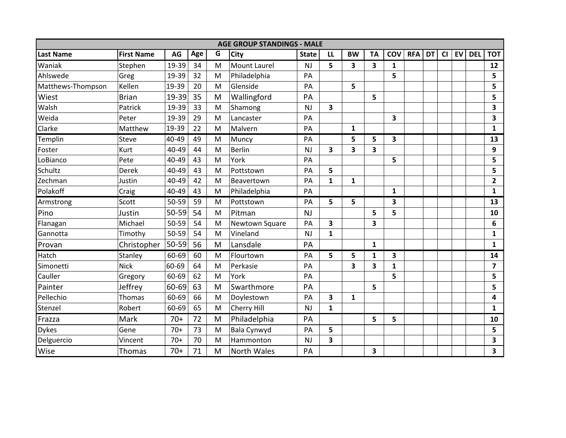| <b>AGE GROUP STANDINGS - MALE</b> |                   |       |     |   |                     |              |                         |              |              |              |            |           |    |    |            |                         |
|-----------------------------------|-------------------|-------|-----|---|---------------------|--------------|-------------------------|--------------|--------------|--------------|------------|-----------|----|----|------------|-------------------------|
| <b>Last Name</b>                  | <b>First Name</b> | AG    | Age | G | <b>City</b>         | <b>State</b> | LL                      | <b>BW</b>    | <b>TA</b>    | COV          | <b>RFA</b> | <b>DT</b> | CI | EV | <b>DEL</b> | <b>TOT</b>              |
| Waniak                            | Stephen           | 19-39 | 34  | M | <b>Mount Laurel</b> | <b>NJ</b>    | 5                       | 3            | 3            | 1            |            |           |    |    |            | 12                      |
| Ahlswede                          | Greg              | 19-39 | 32  | M | Philadelphia        | PA           |                         |              |              | 5            |            |           |    |    |            | 5                       |
| Matthews-Thompson                 | Kellen            | 19-39 | 20  | M | Glenside            | PA           |                         | 5            |              |              |            |           |    |    |            | 5                       |
| Wiest                             | <b>Brian</b>      | 19-39 | 35  | M | Wallingford         | PA           |                         |              | 5            |              |            |           |    |    |            | 5                       |
| Walsh                             | Patrick           | 19-39 | 33  | M | Shamong             | <b>NJ</b>    | 3                       |              |              |              |            |           |    |    |            | 3                       |
| Weida                             | Peter             | 19-39 | 29  | M | Lancaster           | PA           |                         |              |              | 3            |            |           |    |    |            | 3                       |
| Clarke                            | Matthew           | 19-39 | 22  | M | Malvern             | PA           |                         | $\mathbf{1}$ |              |              |            |           |    |    |            | $\mathbf{1}$            |
| Templin                           | <b>Steve</b>      | 40-49 | 49  | M | Muncy               | PA           |                         | 5            | 5            | 3            |            |           |    |    |            | 13                      |
| Foster                            | Kurt              | 40-49 | 44  | M | <b>Berlin</b>       | NJ           | $\overline{\mathbf{3}}$ | 3            | 3            |              |            |           |    |    |            | 9                       |
| LoBianco                          | Pete              | 40-49 | 43  | M | York                | PA           |                         |              |              | 5            |            |           |    |    |            | 5                       |
| Schultz                           | <b>Derek</b>      | 40-49 | 43  | M | Pottstown           | PA           | 5                       |              |              |              |            |           |    |    |            | 5                       |
| Zechman                           | Justin            | 40-49 | 42  | M | Beavertown          | PA           | $\mathbf{1}$            | $\mathbf{1}$ |              |              |            |           |    |    |            | $\mathbf{2}$            |
| Polakoff                          | Craig             | 40-49 | 43  | M | Philadelphia        | PA           |                         |              |              | $\mathbf{1}$ |            |           |    |    |            | $\mathbf{1}$            |
| Armstrong                         | Scott             | 50-59 | 59  | M | Pottstown           | PA           | 5                       | 5            |              | 3            |            |           |    |    |            | 13                      |
| Pino                              | Justin            | 50-59 | 54  | M | Pitman              | NJ           |                         |              | 5            | 5            |            |           |    |    |            | 10                      |
| Flanagan                          | Michael           | 50-59 | 54  | M | Newtown Square      | PA           | 3                       |              | 3            |              |            |           |    |    |            | 6                       |
| Gannotta                          | Timothy           | 50-59 | 54  | M | Vineland            | <b>NJ</b>    | $\mathbf{1}$            |              |              |              |            |           |    |    |            | $\mathbf{1}$            |
| Provan                            | Christopher       | 50-59 | 56  | M | Lansdale            | PA           |                         |              | $\mathbf{1}$ |              |            |           |    |    |            | $\mathbf{1}$            |
| Hatch                             | Stanley           | 60-69 | 60  | M | Flourtown           | PA           | 5                       | 5            | 1            | 3            |            |           |    |    |            | 14                      |
| Simonetti                         | <b>Nick</b>       | 60-69 | 64  | M | Perkasie            | PA           |                         | 3            | 3            | $\mathbf{1}$ |            |           |    |    |            | $\overline{\mathbf{z}}$ |
| Cauller                           | Gregory           | 60-69 | 62  | M | York                | PA           |                         |              |              | 5            |            |           |    |    |            | 5                       |
| Painter                           | Jeffrey           | 60-69 | 63  | M | Swarthmore          | PA           |                         |              | 5            |              |            |           |    |    |            | 5                       |
| Pellechio                         | <b>Thomas</b>     | 60-69 | 66  | M | Doylestown          | PA           | 3                       | $\mathbf{1}$ |              |              |            |           |    |    |            | 4                       |
| Stenzel                           | Robert            | 60-69 | 65  | M | Cherry Hill         | <b>NJ</b>    | $\mathbf{1}$            |              |              |              |            |           |    |    |            | $\mathbf{1}$            |
| Frazza                            | Mark              | $70+$ | 72  | M | Philadelphia        | PA           |                         |              | 5            | 5            |            |           |    |    |            | 10                      |
| <b>Dykes</b>                      | Gene              | $70+$ | 73  | M | Bala Cynwyd         | PA           | 5                       |              |              |              |            |           |    |    |            | 5                       |
| Delguercio                        | Vincent           | $70+$ | 70  | M | Hammonton           | <b>NJ</b>    | 3                       |              |              |              |            |           |    |    |            | 3                       |
| Wise                              | Thomas            | $70+$ | 71  | M | <b>North Wales</b>  | PA           |                         |              | 3            |              |            |           |    |    |            | 3                       |